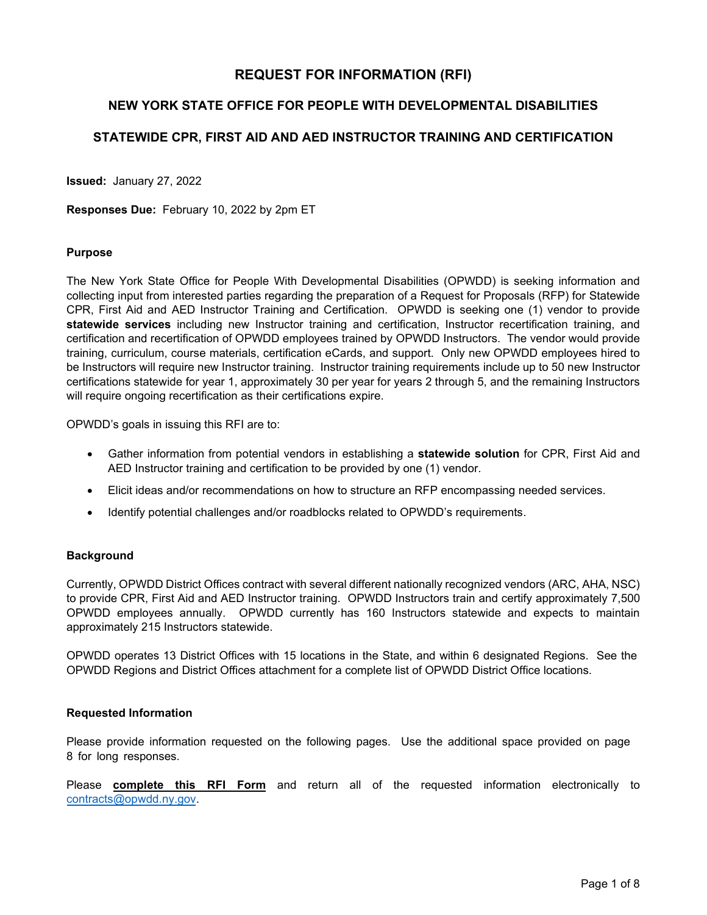# **REQUEST FOR INFORMATION (RFI)**

## **NEW YORK STATE OFFICE FOR PEOPLE WITH DEVELOPMENTAL DISABILITIES**

## **STATEWIDE CPR, FIRST AID AND AED INSTRUCTOR TRAINING AND CERTIFICATION**

**Issued:** January 27, 2022

**Responses Due:** February 10, 2022 by 2pm ET

#### **Purpose**

The New York State Office for People With Developmental Disabilities (OPWDD) is seeking information and collecting input from interested parties regarding the preparation of a Request for Proposals (RFP) for Statewide CPR, First Aid and AED Instructor Training and Certification. OPWDD is seeking one (1) vendor to provide **statewide services** including new Instructor training and certification, Instructor recertification training, and certification and recertification of OPWDD employees trained by OPWDD Instructors. The vendor would provide training, curriculum, course materials, certification eCards, and support. Only new OPWDD employees hired to be Instructors will require new Instructor training. Instructor training requirements include up to 50 new Instructor certifications statewide for year 1, approximately 30 per year for years 2 through 5, and the remaining Instructors will require ongoing recertification as their certifications expire.

OPWDD's goals in issuing this RFI are to:

- Gather information from potential vendors in establishing a **statewide solution** for CPR, First Aid and AED Instructor training and certification to be provided by one (1) vendor.
- Elicit ideas and/or recommendations on how to structure an RFP encompassing needed services.
- Identify potential challenges and/or roadblocks related to OPWDD's requirements.

### **Background**

Currently, OPWDD District Offices contract with several different nationally recognized vendors (ARC, AHA, NSC) to provide CPR, First Aid and AED Instructor training. OPWDD Instructors train and certify approximately 7,500 OPWDD employees annually. OPWDD currently has 160 Instructors statewide and expects to maintain approximately 215 Instructors statewide.

OPWDD operates 13 District Offices with 15 locations in the State, and within 6 designated Regions. See the OPWDD Regions and District Offices attachment for a complete list of OPWDD District Office locations.

#### **Requested Information**

Please provide information requested on the following pages. Use the additional space provided on page 8 for long responses.

Please **complete this RFI Form** and return all of the requested information electronically to [contracts@opwdd.ny.gov.](mailto:contracts@opwdd.ny.gov)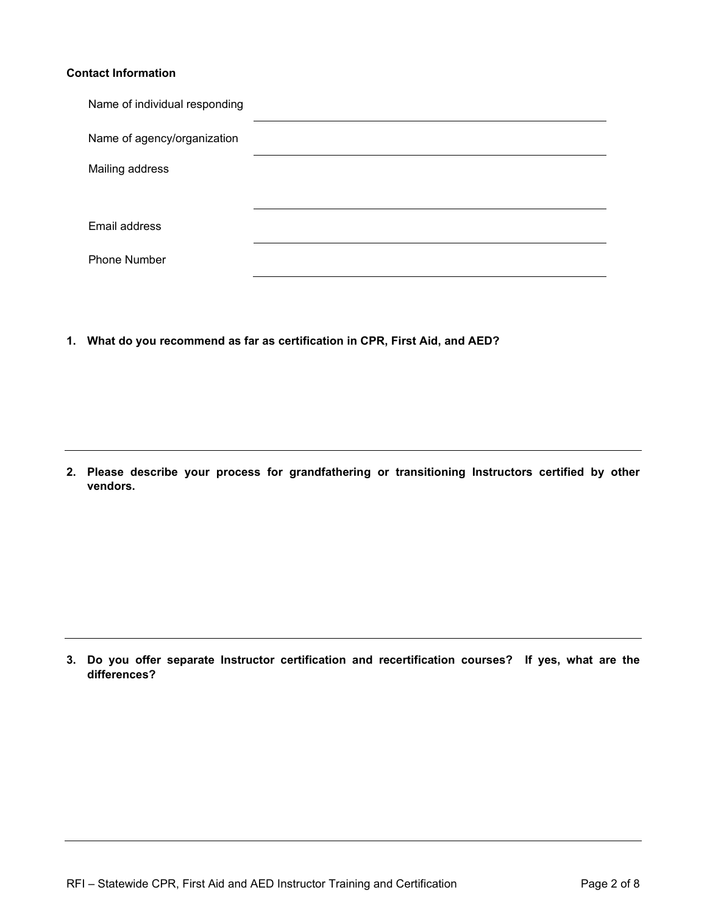### **Contact Information**

| Name of individual responding |  |
|-------------------------------|--|
| Name of agency/organization   |  |
| Mailing address               |  |
|                               |  |
| Email address                 |  |
| Phone Number                  |  |

**1. What do you recommend as far as certification in CPR, First Aid, and AED?**

**2. Please describe your process for grandfathering or transitioning Instructors certified by other vendors.**

**3. Do you offer separate Instructor certification and recertification courses? If yes, what are the differences?**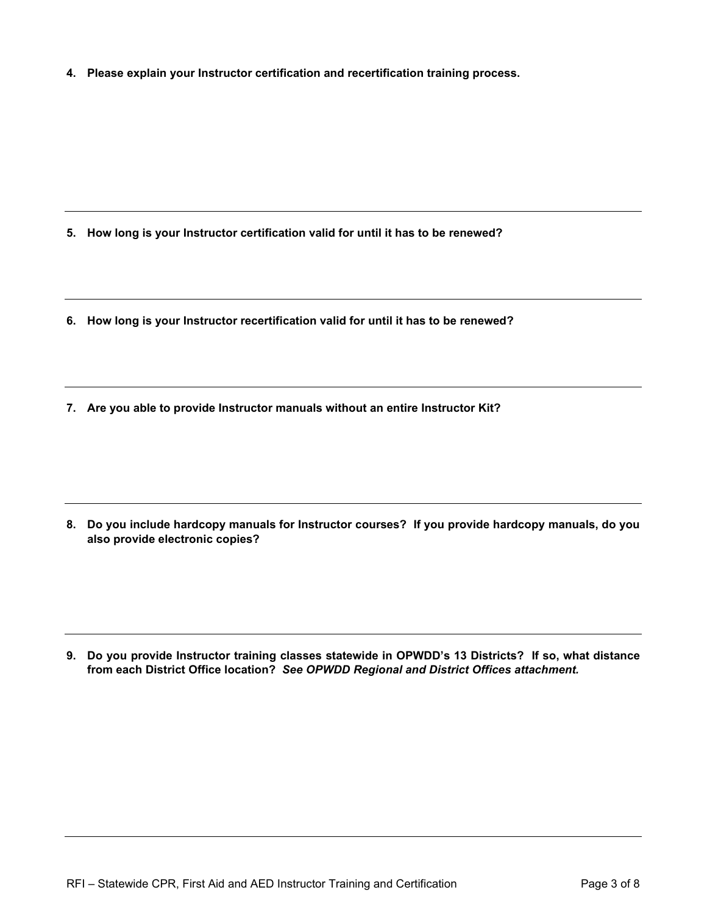**4. Please explain your Instructor certification and recertification training process.**

- **5. How long is your Instructor certification valid for until it has to be renewed?**
- **6. How long is your Instructor recertification valid for until it has to be renewed?**
- **7. Are you able to provide Instructor manuals without an entire Instructor Kit?**

**8. Do you include hardcopy manuals for Instructor courses? If you provide hardcopy manuals, do you also provide electronic copies?**

**9. Do you provide Instructor training classes statewide in OPWDD's 13 Districts? If so, what distance from each District Office location?** *See OPWDD Regional and District Offices attachment.*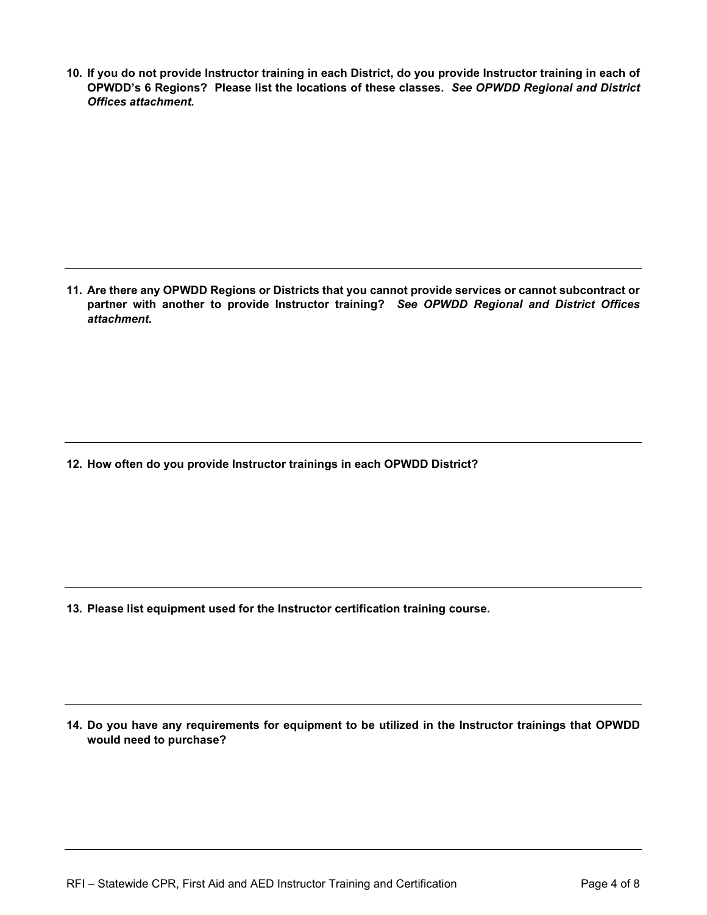**10. If you do not provide Instructor training in each District, do you provide Instructor training in each of OPWDD's 6 Regions? Please list the locations of these classes.** *See OPWDD Regional and District Offices attachment.*

**11. Are there any OPWDD Regions or Districts that you cannot provide services or cannot subcontract or partner with another to provide Instructor training?** *See OPWDD Regional and District Offices attachment.*

**12. How often do you provide Instructor trainings in each OPWDD District?** 

**13. Please list equipment used for the Instructor certification training course.** 

**14. Do you have any requirements for equipment to be utilized in the Instructor trainings that OPWDD would need to purchase?**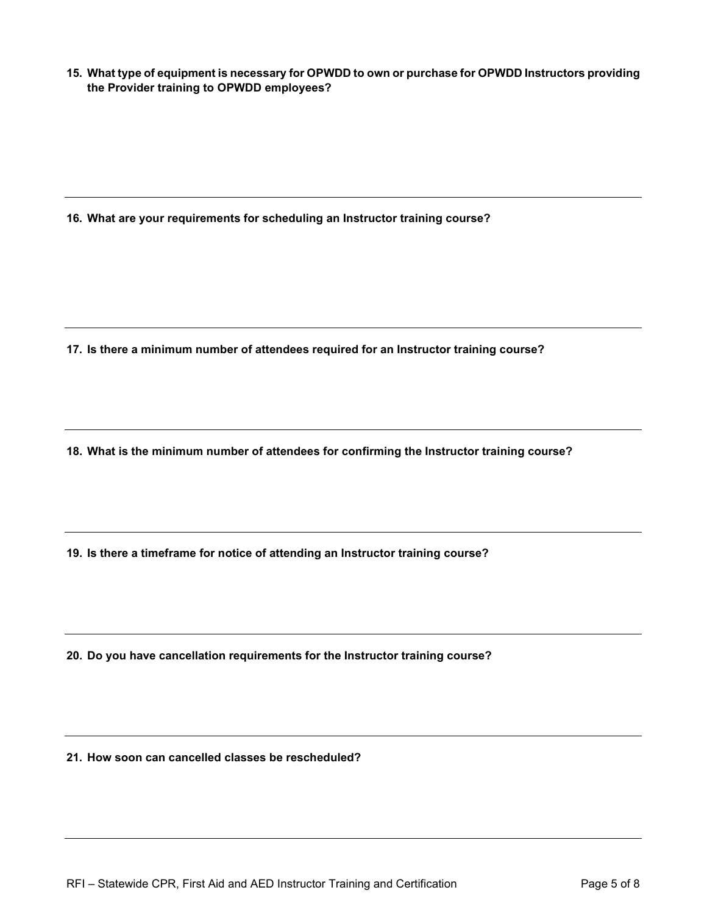**15. What type of equipment is necessary for OPWDD to own or purchase for OPWDD Instructors providing the Provider training to OPWDD employees?**

**16. What are your requirements for scheduling an Instructor training course?**

**17. Is there a minimum number of attendees required for an Instructor training course?**

**18. What is the minimum number of attendees for confirming the Instructor training course?**

**19. Is there a timeframe for notice of attending an Instructor training course?**

**20. Do you have cancellation requirements for the Instructor training course?**

**21. How soon can cancelled classes be rescheduled?**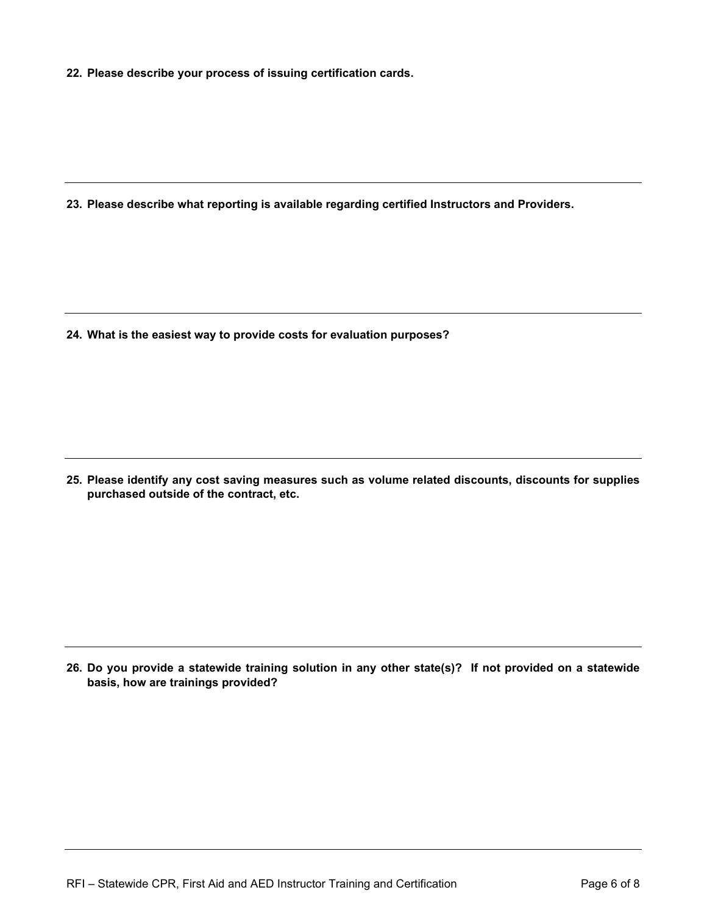**22. Please describe your process of issuing certification cards.** 

**23. Please describe what reporting is available regarding certified Instructors and Providers.** 

**24. What is the easiest way to provide costs for evaluation purposes?** 

**25. Please identify any cost saving measures such as volume related discounts, discounts for supplies purchased outside of the contract, etc.** 

**26. Do you provide a statewide training solution in any other state(s)? If not provided on a statewide basis, how are trainings provided?**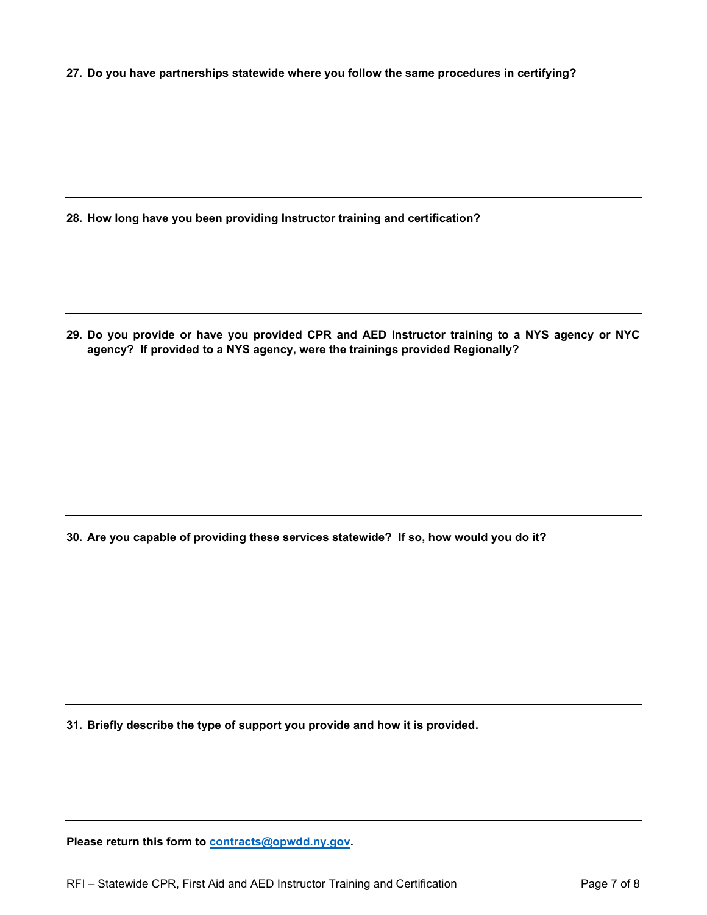**27. Do you have partnerships statewide where you follow the same procedures in certifying?**

**28. How long have you been providing Instructor training and certification?**

**29. Do you provide or have you provided CPR and AED Instructor training to a NYS agency or NYC agency? If provided to a NYS agency, were the trainings provided Regionally?**

**30. Are you capable of providing these services statewide? If so, how would you do it?**

**31. Briefly describe the type of support you provide and how it is provided.**

**Please return this form to [contracts@opwdd.ny.gov.](mailto:contracts@opwdd.ny.gov)**